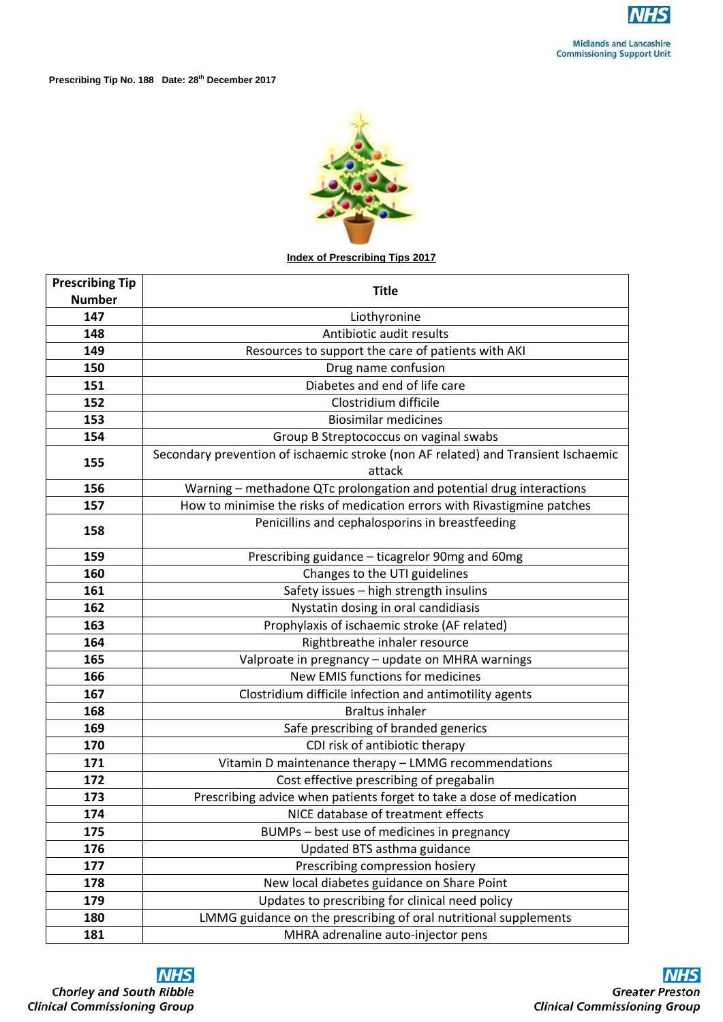

**Prescribing Tip No. 188 Date: 28th December 2017**



## **Index of Prescribing Tips 2017**

| <b>Prescribing Tip</b> | <b>Title</b>                                                                                |
|------------------------|---------------------------------------------------------------------------------------------|
| <b>Number</b>          |                                                                                             |
| 147                    | Liothyronine                                                                                |
| 148                    | Antibiotic audit results                                                                    |
| 149                    | Resources to support the care of patients with AKI                                          |
| 150                    | Drug name confusion                                                                         |
| 151                    | Diabetes and end of life care                                                               |
| 152                    | Clostridium difficile                                                                       |
| 153                    | <b>Biosimilar medicines</b>                                                                 |
| 154                    | Group B Streptococcus on vaginal swabs                                                      |
| 155                    | Secondary prevention of ischaemic stroke (non AF related) and Transient Ischaemic<br>attack |
| 156                    | Warning – methadone QTc prolongation and potential drug interactions                        |
| 157                    | How to minimise the risks of medication errors with Rivastigmine patches                    |
| 158                    | Penicillins and cephalosporins in breastfeeding                                             |
| 159                    | Prescribing guidance – ticagrelor 90mg and 60mg                                             |
| 160                    | Changes to the UTI guidelines                                                               |
| 161                    | Safety issues - high strength insulins                                                      |
| 162                    | Nystatin dosing in oral candidiasis                                                         |
| 163                    | Prophylaxis of ischaemic stroke (AF related)                                                |
| 164                    | Rightbreathe inhaler resource                                                               |
| 165                    | Valproate in pregnancy - update on MHRA warnings                                            |
| 166                    | <b>New EMIS functions for medicines</b>                                                     |
| 167                    | Clostridium difficile infection and antimotility agents                                     |
| 168                    | <b>Braltus inhaler</b>                                                                      |
| 169                    | Safe prescribing of branded generics                                                        |
| 170                    | CDI risk of antibiotic therapy                                                              |
| 171                    | Vitamin D maintenance therapy - LMMG recommendations                                        |
| 172                    | Cost effective prescribing of pregabalin                                                    |
| 173                    | Prescribing advice when patients forget to take a dose of medication                        |
| 174                    | NICE database of treatment effects                                                          |
| 175                    | BUMPs – best use of medicines in pregnancy                                                  |
| 176                    | Updated BTS asthma guidance                                                                 |
| 177                    | Prescribing compression hosiery                                                             |
| 178                    | New local diabetes guidance on Share Point                                                  |
| 179                    | Updates to prescribing for clinical need policy                                             |
| 180                    | LMMG guidance on the prescribing of oral nutritional supplements                            |
| 181                    | MHRA adrenaline auto-injector pens                                                          |



**Chorley and South Ribble**<br>Clinical Commissioning Group



**Greater Preston Clinical Commissioning Group**